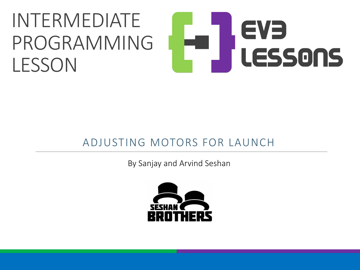### INTERMEDIATE EVE PROGRAMMING LESSONS **LESSON**

### ADJUSTING MOTORS FOR LAUNCH

By Sanjay and Arvind Seshan

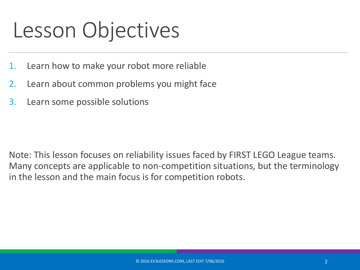## Lesson Objectives

- 1. Learn how to make your robot more reliable
- 2. Learn about common problems you might face
- 3. Learn some possible solutions

Note: This lesson focuses on reliability issues faced by FIRST LEGO League teams. Many concepts are applicable to non-competition situations, but the terminology in the lesson and the main focus is for competition robots.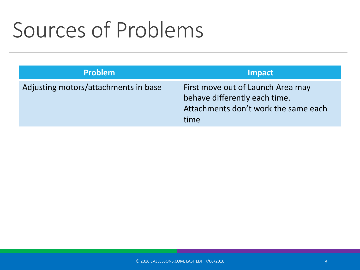# Sources of Problems

| <b>Problem</b>                       | <b>Impact</b>                                                                                                      |
|--------------------------------------|--------------------------------------------------------------------------------------------------------------------|
| Adjusting motors/attachments in base | First move out of Launch Area may<br>behave differently each time.<br>Attachments don't work the same each<br>time |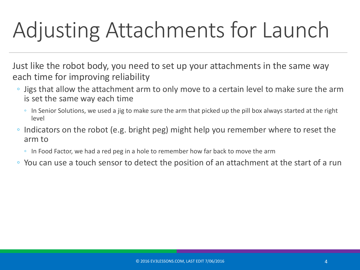# Adjusting Attachments for Launch

Just like the robot body, you need to set up your attachments in the same way each time for improving reliability

- Jigs that allow the attachment arm to only move to a certain level to make sure the arm is set the same way each time
	- In Senior Solutions, we used a jig to make sure the arm that picked up the pill box always started at the right level
- Indicators on the robot (e.g. bright peg) might help you remember where to reset the arm to
	- In Food Factor, we had a red peg in a hole to remember how far back to move the arm
- You can use a touch sensor to detect the position of an attachment at the start of a run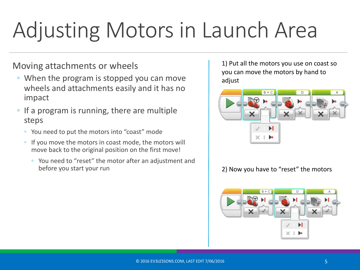# Adjusting Motors in Launch Area

### Moving attachments or wheels

- When the program is stopped you can move wheels and attachments easily and it has no impact
- If a program is running, there are multiple steps
	- You need to put the motors into "coast" mode
	- If you move the motors in coast mode, the motors will move back to the original position on the first move!
		- You need to "reset" the motor after an adjustment and before you start your run

1) Put all the motors you use on coast so you can move the motors by hand to adjust



#### 2) Now you have to "reset" the motors

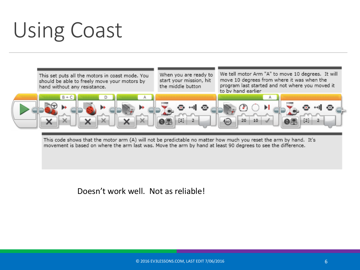# Using Coast



This code shows that the motor arm (A) will not be predictable no matter how much you reset the arm by hand. It's movement is based on where the arm last was. Move the arm by hand at least 90 degrees to see the difference.

#### Doesn't work well. Not as reliable!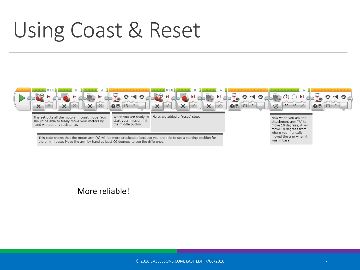## Using Coast & Reset



#### More reliable!